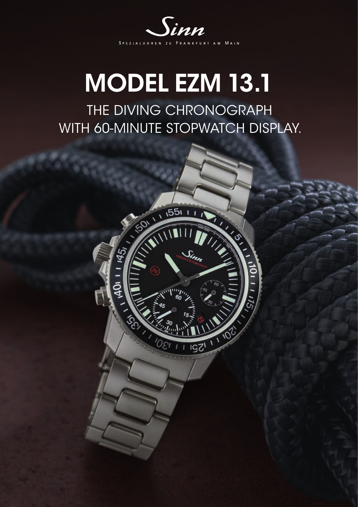

## MODEL EZM 13.1

THE DIVING CHRONOGRAPH WITH 60-MINUTE STOPWATCH DISPLAY.